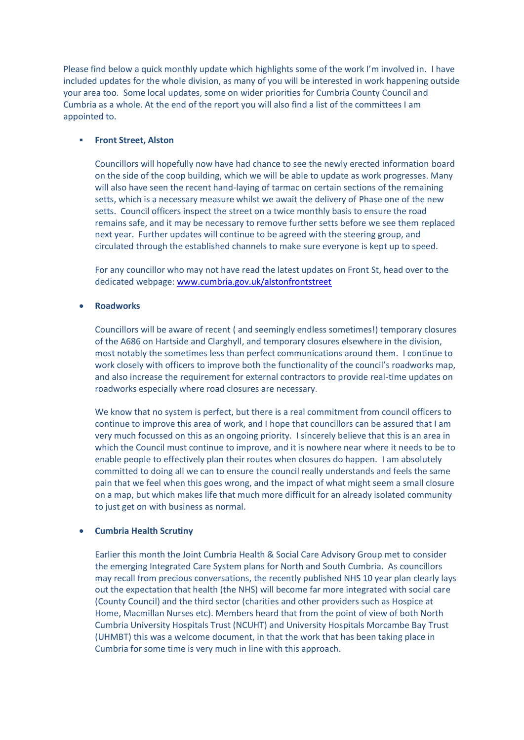Please find below a quick monthly update which highlights some of the work I'm involved in. I have included updates for the whole division, as many of you will be interested in work happening outside your area too. Some local updates, some on wider priorities for Cumbria County Council and Cumbria as a whole. At the end of the report you will also find a list of the committees I am appointed to.

## **Front Street, Alston**

Councillors will hopefully now have had chance to see the newly erected information board on the side of the coop building, which we will be able to update as work progresses. Many will also have seen the recent hand-laying of tarmac on certain sections of the remaining setts, which is a necessary measure whilst we await the delivery of Phase one of the new setts. Council officers inspect the street on a twice monthly basis to ensure the road remains safe, and it may be necessary to remove further setts before we see them replaced next year. Further updates will continue to be agreed with the steering group, and circulated through the established channels to make sure everyone is kept up to speed.

For any councillor who may not have read the latest updates on Front St, head over to the dedicated webpage: [www.cumbria.gov.uk/alstonfrontstreet](http://www.cumbria.gov.uk/alstonfrontstreet)

# **Roadworks**

Councillors will be aware of recent ( and seemingly endless sometimes!) temporary closures of the A686 on Hartside and Clarghyll, and temporary closures elsewhere in the division, most notably the sometimes less than perfect communications around them. I continue to work closely with officers to improve both the functionality of the council's roadworks map, and also increase the requirement for external contractors to provide real-time updates on roadworks especially where road closures are necessary.

We know that no system is perfect, but there is a real commitment from council officers to continue to improve this area of work, and I hope that councillors can be assured that I am very much focussed on this as an ongoing priority. I sincerely believe that this is an area in which the Council must continue to improve, and it is nowhere near where it needs to be to enable people to effectively plan their routes when closures do happen. I am absolutely committed to doing all we can to ensure the council really understands and feels the same pain that we feel when this goes wrong, and the impact of what might seem a small closure on a map, but which makes life that much more difficult for an already isolated community to just get on with business as normal.

### **Cumbria Health Scrutiny**

Earlier this month the Joint Cumbria Health & Social Care Advisory Group met to consider the emerging Integrated Care System plans for North and South Cumbria. As councillors may recall from precious conversations, the recently published NHS 10 year plan clearly lays out the expectation that health (the NHS) will become far more integrated with social care (County Council) and the third sector (charities and other providers such as Hospice at Home, Macmillan Nurses etc). Members heard that from the point of view of both North Cumbria University Hospitals Trust (NCUHT) and University Hospitals Morcambe Bay Trust (UHMBT) this was a welcome document, in that the work that has been taking place in Cumbria for some time is very much in line with this approach.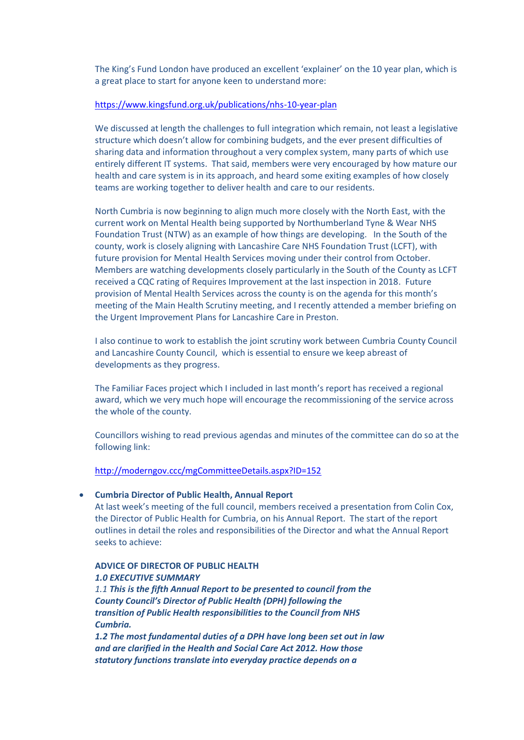The King's Fund London have produced an excellent 'explainer' on the 10 year plan, which is a great place to start for anyone keen to understand more:

# <https://www.kingsfund.org.uk/publications/nhs-10-year-plan>

We discussed at length the challenges to full integration which remain, not least a legislative structure which doesn't allow for combining budgets, and the ever present difficulties of sharing data and information throughout a very complex system, many parts of which use entirely different IT systems. That said, members were very encouraged by how mature our health and care system is in its approach, and heard some exiting examples of how closely teams are working together to deliver health and care to our residents.

North Cumbria is now beginning to align much more closely with the North East, with the current work on Mental Health being supported by Northumberland Tyne & Wear NHS Foundation Trust (NTW) as an example of how things are developing. In the South of the county, work is closely aligning with Lancashire Care NHS Foundation Trust (LCFT), with future provision for Mental Health Services moving under their control from October. Members are watching developments closely particularly in the South of the County as LCFT received a CQC rating of Requires Improvement at the last inspection in 2018. Future provision of Mental Health Services across the county is on the agenda for this month's meeting of the Main Health Scrutiny meeting, and I recently attended a member briefing on the Urgent Improvement Plans for Lancashire Care in Preston.

I also continue to work to establish the joint scrutiny work between Cumbria County Council and Lancashire County Council, which is essential to ensure we keep abreast of developments as they progress.

The Familiar Faces project which I included in last month's report has received a regional award, which we very much hope will encourage the recommissioning of the service across the whole of the county.

Councillors wishing to read previous agendas and minutes of the committee can do so at the following link:

#### <http://moderngov.ccc/mgCommitteeDetails.aspx?ID=152>

#### **Cumbria Director of Public Health, Annual Report**

At last week's meeting of the full council, members received a presentation from Colin Cox, the Director of Public Health for Cumbria, on his Annual Report. The start of the report outlines in detail the roles and responsibilities of the Director and what the Annual Report seeks to achieve:

# **ADVICE OF DIRECTOR OF PUBLIC HEALTH** *1.0 EXECUTIVE SUMMARY*

*1.1 This is the fifth Annual Report to be presented to council from the County Council's Director of Public Health (DPH) following the transition of Public Health responsibilities to the Council from NHS Cumbria.*

*1.2 The most fundamental duties of a DPH have long been set out in law and are clarified in the Health and Social Care Act 2012. How those statutory functions translate into everyday practice depends on a*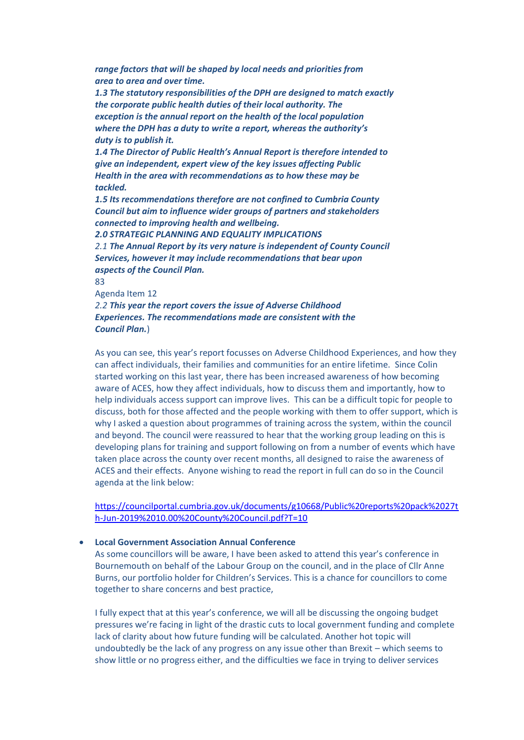*range factors that will be shaped by local needs and priorities from area to area and over time.*

*1.3 The statutory responsibilities of the DPH are designed to match exactly the corporate public health duties of their local authority. The exception is the annual report on the health of the local population where the DPH has a duty to write a report, whereas the authority's duty is to publish it.*

*1.4 The Director of Public Health's Annual Report is therefore intended to give an independent, expert view of the key issues affecting Public Health in the area with recommendations as to how these may be tackled.*

*1.5 Its recommendations therefore are not confined to Cumbria County Council but aim to influence wider groups of partners and stakeholders connected to improving health and wellbeing.*

*2.0 STRATEGIC PLANNING AND EQUALITY IMPLICATIONS 2.1 The Annual Report by its very nature is independent of County Council Services, however it may include recommendations that bear upon aspects of the Council Plan.*

83 Agenda Item 12 *2.2 This year the report covers the issue of Adverse Childhood Experiences. The recommendations made are consistent with the Council Plan.*)

As you can see, this year's report focusses on Adverse Childhood Experiences, and how they can affect individuals, their families and communities for an entire lifetime. Since Colin started working on this last year, there has been increased awareness of how becoming aware of ACES, how they affect individuals, how to discuss them and importantly, how to help individuals access support can improve lives. This can be a difficult topic for people to discuss, both for those affected and the people working with them to offer support, which is why I asked a question about programmes of training across the system, within the council and beyond. The council were reassured to hear that the working group leading on this is developing plans for training and support following on from a number of events which have taken place across the county over recent months, all designed to raise the awareness of ACES and their effects. Anyone wishing to read the report in full can do so in the Council agenda at the link below:

[https://councilportal.cumbria.gov.uk/documents/g10668/Public%20reports%20pack%2027t](https://councilportal.cumbria.gov.uk/documents/g10668/Public%20reports%20pack%2027th-Jun-2019%2010.00%20County%20Council.pdf?T=10) [h-Jun-2019%2010.00%20County%20Council.pdf?T=10](https://councilportal.cumbria.gov.uk/documents/g10668/Public%20reports%20pack%2027th-Jun-2019%2010.00%20County%20Council.pdf?T=10)

# **Local Government Association Annual Conference**

As some councillors will be aware, I have been asked to attend this year's conference in Bournemouth on behalf of the Labour Group on the council, and in the place of Cllr Anne Burns, our portfolio holder for Children's Services. This is a chance for councillors to come together to share concerns and best practice,

I fully expect that at this year's conference, we will all be discussing the ongoing budget pressures we're facing in light of the drastic cuts to local government funding and complete lack of clarity about how future funding will be calculated. Another hot topic will undoubtedly be the lack of any progress on any issue other than Brexit – which seems to show little or no progress either, and the difficulties we face in trying to deliver services